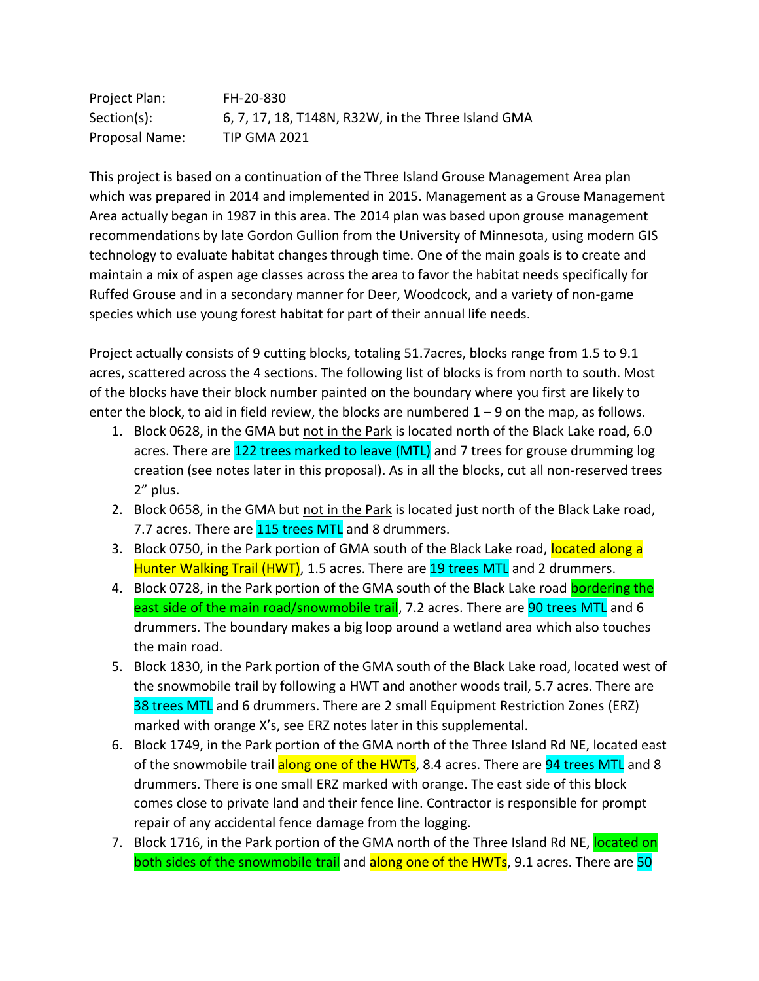| Project Plan:  | FH-20-830                                          |
|----------------|----------------------------------------------------|
| Section(s):    | 6, 7, 17, 18, T148N, R32W, in the Three Island GMA |
| Proposal Name: | <b>TIP GMA 2021</b>                                |

This project is based on a continuation of the Three Island Grouse Management Area plan which was prepared in 2014 and implemented in 2015. Management as a Grouse Management Area actually began in 1987 in this area. The 2014 plan was based upon grouse management recommendations by late Gordon Gullion from the University of Minnesota, using modern GIS technology to evaluate habitat changes through time. One of the main goals is to create and maintain a mix of aspen age classes across the area to favor the habitat needs specifically for Ruffed Grouse and in a secondary manner for Deer, Woodcock, and a variety of non-game species which use young forest habitat for part of their annual life needs.

Project actually consists of 9 cutting blocks, totaling 51.7acres, blocks range from 1.5 to 9.1 acres, scattered across the 4 sections. The following list of blocks is from north to south. Most of the blocks have their block number painted on the boundary where you first are likely to enter the block, to aid in field review, the blocks are numbered  $1 - 9$  on the map, as follows.

- 1. Block 0628, in the GMA but not in the Park is located north of the Black Lake road, 6.0 acres. There are 122 trees marked to leave (MTL) and 7 trees for grouse drumming log creation (see notes later in this proposal). As in all the blocks, cut all non-reserved trees 2" plus.
- 2. Block 0658, in the GMA but not in the Park is located just north of the Black Lake road, 7.7 acres. There are 115 trees MTL and 8 drummers.
- 3. Block 0750, in the Park portion of GMA south of the Black Lake road, located along a Hunter Walking Trail (HWT), 1.5 acres. There are 19 trees MTL and 2 drummers.
- 4. Block 0728, in the Park portion of the GMA south of the Black Lake road bordering the east side of the main road/snowmobile trail, 7.2 acres. There are 90 trees MTL and 6 drummers. The boundary makes a big loop around a wetland area which also touches the main road.
- 5. Block 1830, in the Park portion of the GMA south of the Black Lake road, located west of the snowmobile trail by following a HWT and another woods trail, 5.7 acres. There are 38 trees MTL and 6 drummers. There are 2 small Equipment Restriction Zones (ERZ) marked with orange X's, see ERZ notes later in this supplemental.
- 6. Block 1749, in the Park portion of the GMA north of the Three Island Rd NE, located east of the snowmobile trail along one of the HWTs, 8.4 acres. There are 94 trees MTL and 8 drummers. There is one small ERZ marked with orange. The east side of this block comes close to private land and their fence line. Contractor is responsible for prompt repair of any accidental fence damage from the logging.
- 7. Block 1716, in the Park portion of the GMA north of the Three Island Rd NE, located on both sides of the snowmobile trail and along one of the HWTs, 9.1 acres. There are 50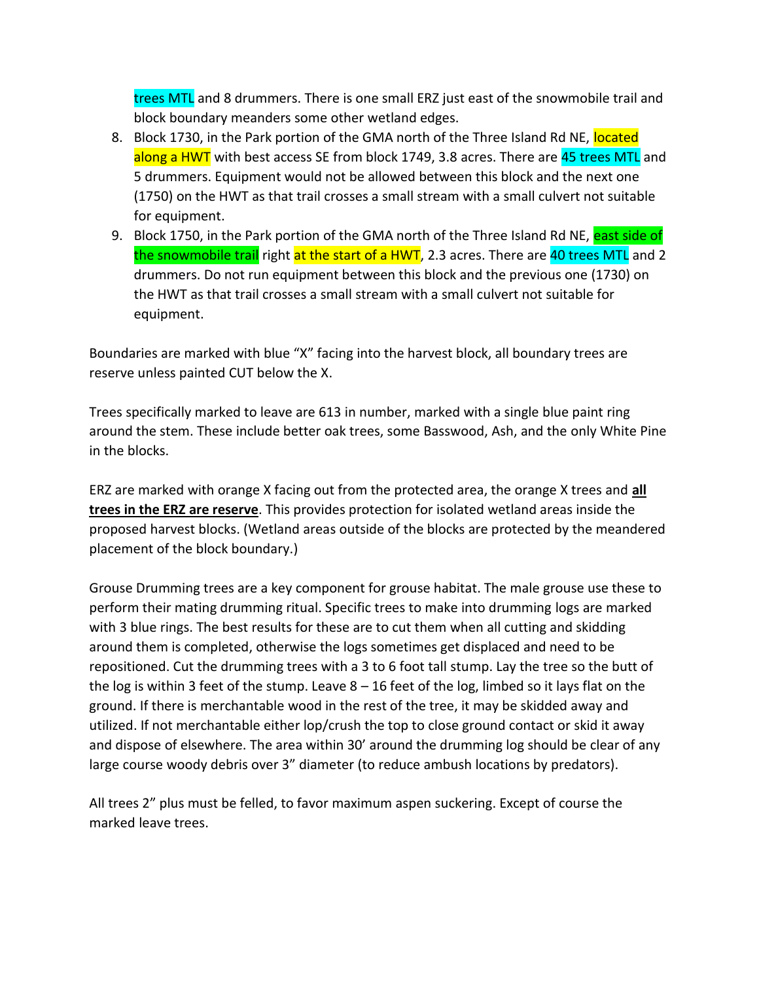trees MTL and 8 drummers. There is one small ERZ just east of the snowmobile trail and block boundary meanders some other wetland edges.

- 8. Block 1730, in the Park portion of the GMA north of the Three Island Rd NE, located along a HWT with best access SE from block 1749, 3.8 acres. There are 45 trees MTL and 5 drummers. Equipment would not be allowed between this block and the next one (1750) on the HWT as that trail crosses a small stream with a small culvert not suitable for equipment.
- 9. Block 1750, in the Park portion of the GMA north of the Three Island Rd NE, east side of the snowmobile trail right at the start of a HWT, 2.3 acres. There are 40 trees MTL and 2 drummers. Do not run equipment between this block and the previous one (1730) on the HWT as that trail crosses a small stream with a small culvert not suitable for equipment.

Boundaries are marked with blue "X" facing into the harvest block, all boundary trees are reserve unless painted CUT below the X.

Trees specifically marked to leave are 613 in number, marked with a single blue paint ring around the stem. These include better oak trees, some Basswood, Ash, and the only White Pine in the blocks.

ERZ are marked with orange X facing out from the protected area, the orange X trees and **all trees in the ERZ are reserve**. This provides protection for isolated wetland areas inside the proposed harvest blocks. (Wetland areas outside of the blocks are protected by the meandered placement of the block boundary.)

Grouse Drumming trees are a key component for grouse habitat. The male grouse use these to perform their mating drumming ritual. Specific trees to make into drumming logs are marked with 3 blue rings. The best results for these are to cut them when all cutting and skidding around them is completed, otherwise the logs sometimes get displaced and need to be repositioned. Cut the drumming trees with a 3 to 6 foot tall stump. Lay the tree so the butt of the log is within 3 feet of the stump. Leave  $8-16$  feet of the log, limbed so it lays flat on the ground. If there is merchantable wood in the rest of the tree, it may be skidded away and utilized. If not merchantable either lop/crush the top to close ground contact or skid it away and dispose of elsewhere. The area within 30' around the drumming log should be clear of any large course woody debris over 3" diameter (to reduce ambush locations by predators).

All trees 2" plus must be felled, to favor maximum aspen suckering. Except of course the marked leave trees.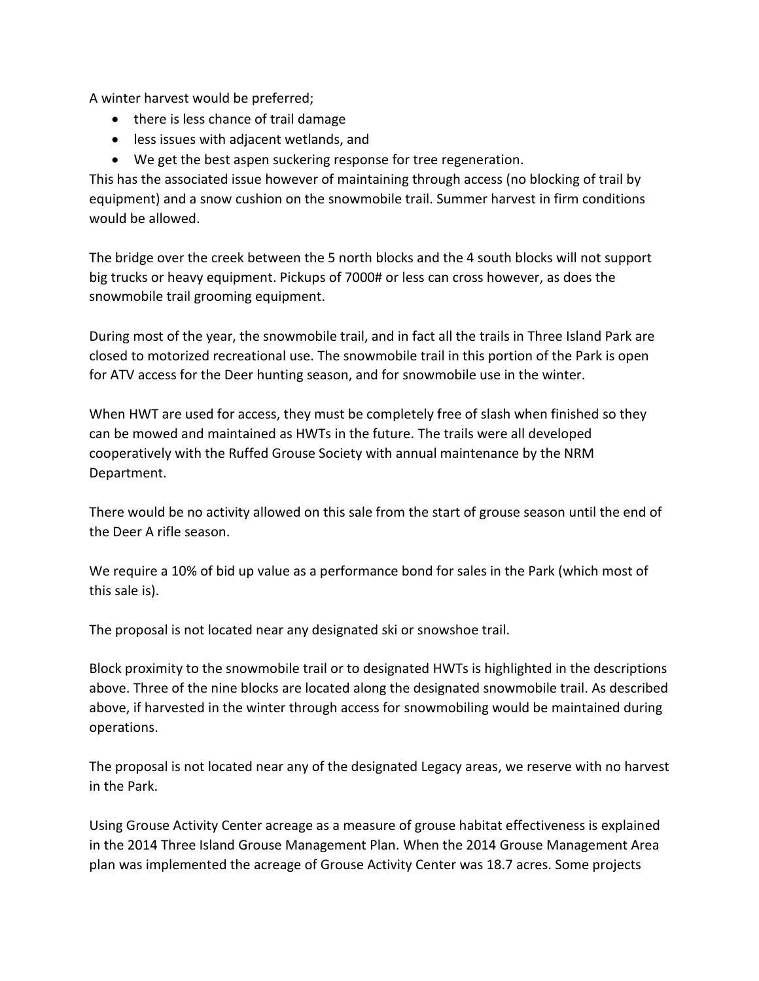A winter harvest would be preferred;

- there is less chance of trail damage
- less issues with adjacent wetlands, and
- We get the best aspen suckering response for tree regeneration.

This has the associated issue however of maintaining through access (no blocking of trail by equipment) and a snow cushion on the snowmobile trail. Summer harvest in firm conditions would be allowed.

The bridge over the creek between the 5 north blocks and the 4 south blocks will not support big trucks or heavy equipment. Pickups of 7000# or less can cross however, as does the snowmobile trail grooming equipment.

During most of the year, the snowmobile trail, and in fact all the trails in Three Island Park are closed to motorized recreational use. The snowmobile trail in this portion of the Park is open for ATV access for the Deer hunting season, and for snowmobile use in the winter.

When HWT are used for access, they must be completely free of slash when finished so they can be mowed and maintained as HWTs in the future. The trails were all developed cooperatively with the Ruffed Grouse Society with annual maintenance by the NRM Department.

There would be no activity allowed on this sale from the start of grouse season until the end of the Deer A rifle season.

We require a 10% of bid up value as a performance bond for sales in the Park (which most of this sale is).

The proposal is not located near any designated ski or snowshoe trail.

Block proximity to the snowmobile trail or to designated HWTs is highlighted in the descriptions above. Three of the nine blocks are located along the designated snowmobile trail. As described above, if harvested in the winter through access for snowmobiling would be maintained during operations.

The proposal is not located near any of the designated Legacy areas, we reserve with no harvest in the Park.

Using Grouse Activity Center acreage as a measure of grouse habitat effectiveness is explained in the 2014 Three Island Grouse Management Plan. When the 2014 Grouse Management Area plan was implemented the acreage of Grouse Activity Center was 18.7 acres. Some projects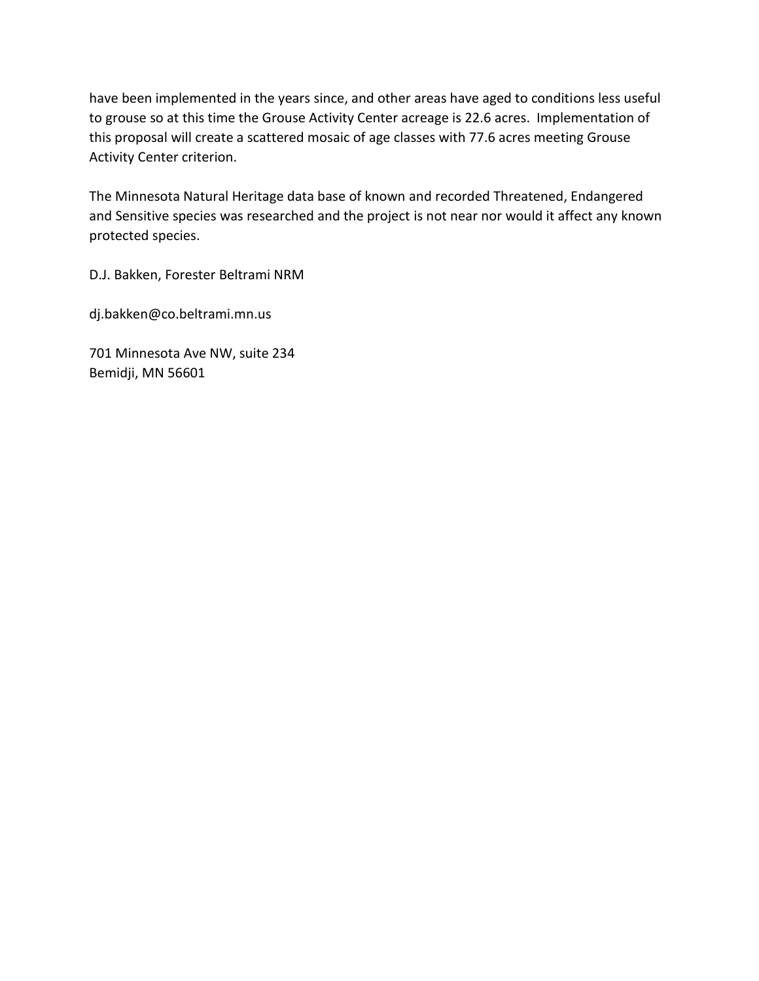have been implemented in the years since, and other areas have aged to conditions less useful to grouse so at this time the Grouse Activity Center acreage is 22.6 acres. Implementation of this proposal will create a scattered mosaic of age classes with 77.6 acres meeting Grouse Activity Center criterion.

The Minnesota Natural Heritage data base of known and recorded Threatened, Endangered and Sensitive species was researched and the project is not near nor would it affect any known protected species.

D.J. Bakken, Forester Beltrami NRM

dj.bakken@co.beltrami.mn.us

701 Minnesota Ave NW, suite 234 Bemidji, MN 56601